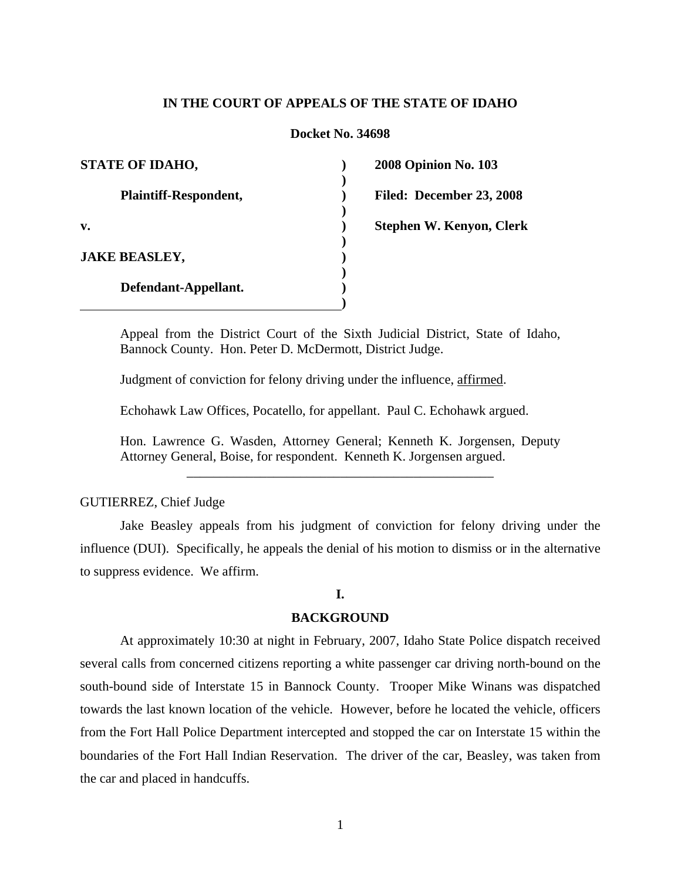## **IN THE COURT OF APPEALS OF THE STATE OF IDAHO**

### **Docket No. 34698**

**) ) ) ) ) ) ) ) ) )**

**2008 Opinion No. 103 Filed: December 23, 2008 Stephen W. Kenyon, Clerk** 

Appeal from the District Court of the Sixth Judicial District, State of Idaho, Bannock County. Hon. Peter D. McDermott, District Judge.

Judgment of conviction for felony driving under the influence, affirmed.

Echohawk Law Offices, Pocatello, for appellant. Paul C. Echohawk argued.

Hon. Lawrence G. Wasden, Attorney General; Kenneth K. Jorgensen, Deputy Attorney General, Boise, for respondent. Kenneth K. Jorgensen argued.

\_\_\_\_\_\_\_\_\_\_\_\_\_\_\_\_\_\_\_\_\_\_\_\_\_\_\_\_\_\_\_\_\_\_\_\_\_\_\_\_\_\_\_\_\_\_

### GUTIERREZ, Chief Judge

 Jake Beasley appeals from his judgment of conviction for felony driving under the influence (DUI). Specifically, he appeals the denial of his motion to dismiss or in the alternative to suppress evidence. We affirm.

# **I.**

### **BACKGROUND**

 At approximately 10:30 at night in February, 2007, Idaho State Police dispatch received several calls from concerned citizens reporting a white passenger car driving north-bound on the south-bound side of Interstate 15 in Bannock County. Trooper Mike Winans was dispatched towards the last known location of the vehicle. However, before he located the vehicle, officers from the Fort Hall Police Department intercepted and stopped the car on Interstate 15 within the boundaries of the Fort Hall Indian Reservation. The driver of the car, Beasley, was taken from the car and placed in handcuffs.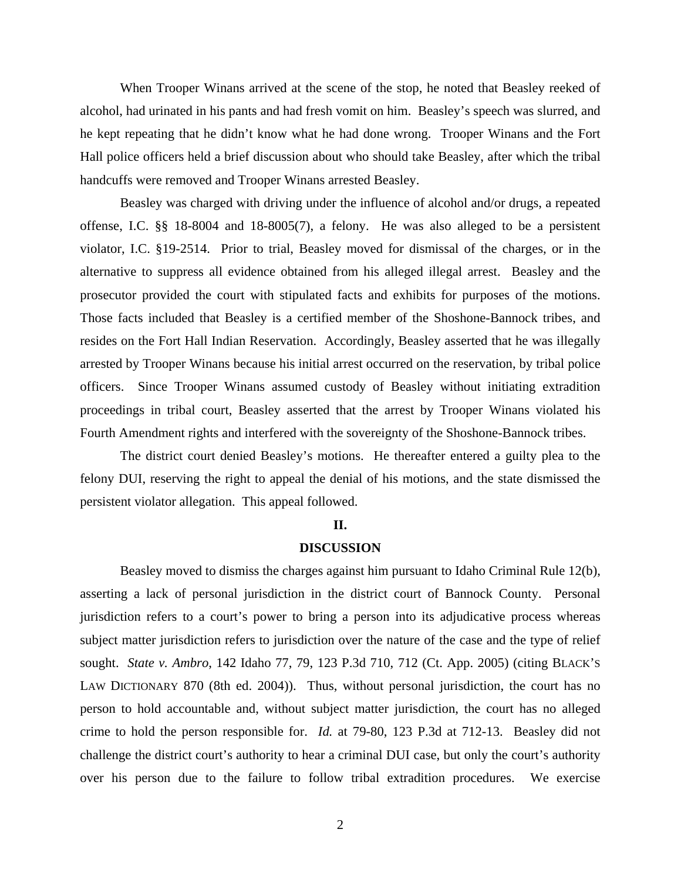When Trooper Winans arrived at the scene of the stop, he noted that Beasley reeked of alcohol, had urinated in his pants and had fresh vomit on him. Beasley's speech was slurred, and he kept repeating that he didn't know what he had done wrong. Trooper Winans and the Fort Hall police officers held a brief discussion about who should take Beasley, after which the tribal handcuffs were removed and Trooper Winans arrested Beasley.

 Beasley was charged with driving under the influence of alcohol and/or drugs, a repeated offense, I.C. §§ 18-8004 and 18-8005(7), a felony. He was also alleged to be a persistent violator, I.C. §19-2514. Prior to trial, Beasley moved for dismissal of the charges, or in the alternative to suppress all evidence obtained from his alleged illegal arrest. Beasley and the prosecutor provided the court with stipulated facts and exhibits for purposes of the motions. Those facts included that Beasley is a certified member of the Shoshone-Bannock tribes, and resides on the Fort Hall Indian Reservation. Accordingly, Beasley asserted that he was illegally arrested by Trooper Winans because his initial arrest occurred on the reservation, by tribal police officers. Since Trooper Winans assumed custody of Beasley without initiating extradition proceedings in tribal court, Beasley asserted that the arrest by Trooper Winans violated his Fourth Amendment rights and interfered with the sovereignty of the Shoshone-Bannock tribes.

 The district court denied Beasley's motions. He thereafter entered a guilty plea to the felony DUI, reserving the right to appeal the denial of his motions, and the state dismissed the persistent violator allegation. This appeal followed.

### **II.**

#### **DISCUSSION**

Beasley moved to dismiss the charges against him pursuant to Idaho Criminal Rule 12(b), asserting a lack of personal jurisdiction in the district court of Bannock County. Personal jurisdiction refers to a court's power to bring a person into its adjudicative process whereas subject matter jurisdiction refers to jurisdiction over the nature of the case and the type of relief sought. *State v. Ambro*, 142 Idaho 77, 79, 123 P.3d 710, 712 (Ct. App. 2005) (citing BLACK'S LAW DICTIONARY 870 (8th ed. 2004)). Thus, without personal jurisdiction, the court has no person to hold accountable and, without subject matter jurisdiction, the court has no alleged crime to hold the person responsible for. *Id.* at 79-80, 123 P.3d at 712-13. Beasley did not challenge the district court's authority to hear a criminal DUI case, but only the court's authority over his person due to the failure to follow tribal extradition procedures. We exercise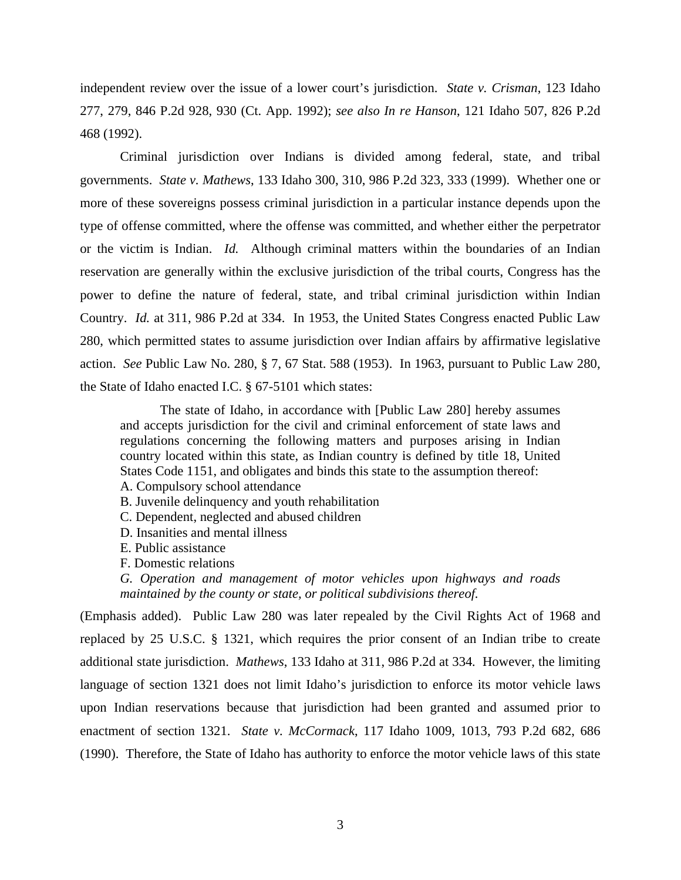independent review over the issue of a lower court's jurisdiction. *State v. Crisman*, 123 Idaho 277, 279, 846 P.2d 928, 930 (Ct. App. 1992); *see also In re Hanson*, 121 Idaho 507, 826 P.2d 468 (1992).

 Criminal jurisdiction over Indians is divided among federal, state, and tribal governments. *State v. Mathews*, 133 Idaho 300, 310, 986 P.2d 323, 333 (1999). Whether one or more of these sovereigns possess criminal jurisdiction in a particular instance depends upon the type of offense committed, where the offense was committed, and whether either the perpetrator or the victim is Indian. *Id.* Although criminal matters within the boundaries of an Indian reservation are generally within the exclusive jurisdiction of the tribal courts, Congress has the power to define the nature of federal, state, and tribal criminal jurisdiction within Indian Country. *Id.* at 311, 986 P.2d at 334. In 1953, the United States Congress enacted Public Law 280, which permitted states to assume jurisdiction over Indian affairs by affirmative legislative action. *See* Public Law No. 280, § 7, 67 Stat. 588 (1953). In 1963, pursuant to Public Law 280, the State of Idaho enacted I.C. § 67-5101 which states:

The state of Idaho, in accordance with [Public Law 280] hereby assumes and accepts jurisdiction for the civil and criminal enforcement of state laws and regulations concerning the following matters and purposes arising in Indian country located within this state, as Indian country is defined by title 18, United States Code 1151, and obligates and binds this state to the assumption thereof:

A. Compulsory school attendance

- B. Juvenile delinquency and youth rehabilitation
- C. Dependent, neglected and abused children
- D. Insanities and mental illness
- E. Public assistance
- F. Domestic relations

*G. Operation and management of motor vehicles upon highways and roads maintained by the county or state, or political subdivisions thereof.* 

(Emphasis added). Public Law 280 was later repealed by the Civil Rights Act of 1968 and replaced by 25 U.S.C. § 1321, which requires the prior consent of an Indian tribe to create additional state jurisdiction. *Mathews*, 133 Idaho at 311, 986 P.2d at 334*.* However, the limiting language of section 1321 does not limit Idaho's jurisdiction to enforce its motor vehicle laws upon Indian reservations because that jurisdiction had been granted and assumed prior to enactment of section 1321. *State v. McCormack*, 117 Idaho 1009, 1013, 793 P.2d 682, 686 (1990). Therefore, the State of Idaho has authority to enforce the motor vehicle laws of this state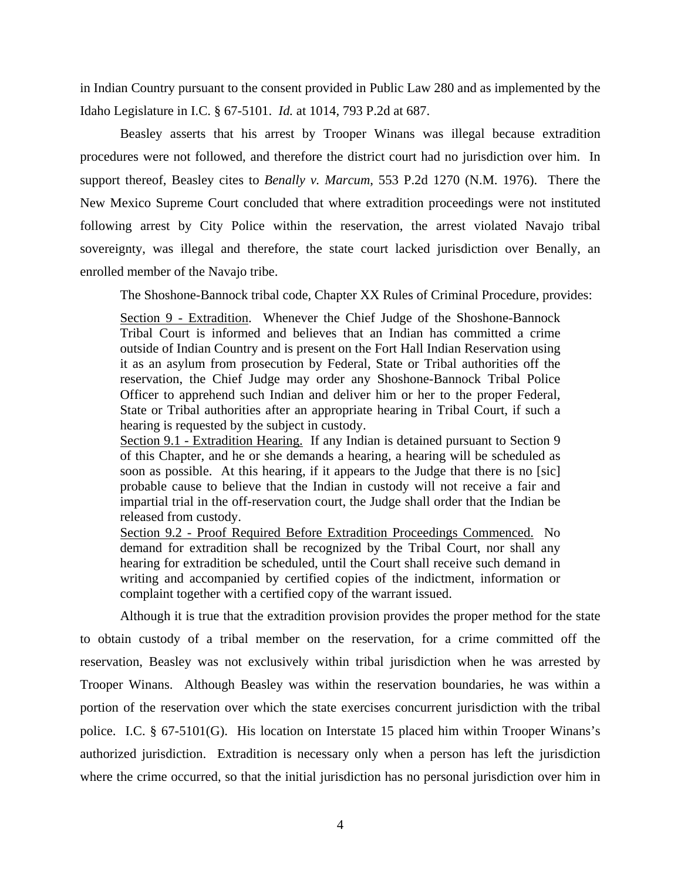in Indian Country pursuant to the consent provided in Public Law 280 and as implemented by the Idaho Legislature in I.C. § 67-5101. *Id.* at 1014, 793 P.2d at 687.

Beasley asserts that his arrest by Trooper Winans was illegal because extradition procedures were not followed, and therefore the district court had no jurisdiction over him. In support thereof, Beasley cites to *Benally v. Marcum*, 553 P.2d 1270 (N.M. 1976). There the New Mexico Supreme Court concluded that where extradition proceedings were not instituted following arrest by City Police within the reservation, the arrest violated Navajo tribal sovereignty, was illegal and therefore, the state court lacked jurisdiction over Benally, an enrolled member of the Navajo tribe.

The Shoshone-Bannock tribal code, Chapter XX Rules of Criminal Procedure, provides:

Section 9 - Extradition. Whenever the Chief Judge of the Shoshone-Bannock Tribal Court is informed and believes that an Indian has committed a crime outside of Indian Country and is present on the Fort Hall Indian Reservation using it as an asylum from prosecution by Federal, State or Tribal authorities off the reservation, the Chief Judge may order any Shoshone-Bannock Tribal Police Officer to apprehend such Indian and deliver him or her to the proper Federal, State or Tribal authorities after an appropriate hearing in Tribal Court, if such a hearing is requested by the subject in custody.

Section 9.1 - Extradition Hearing. If any Indian is detained pursuant to Section 9 of this Chapter, and he or she demands a hearing, a hearing will be scheduled as soon as possible. At this hearing, if it appears to the Judge that there is no [sic] probable cause to believe that the Indian in custody will not receive a fair and impartial trial in the off-reservation court, the Judge shall order that the Indian be released from custody.

Section 9.2 - Proof Required Before Extradition Proceedings Commenced. No demand for extradition shall be recognized by the Tribal Court, nor shall any hearing for extradition be scheduled, until the Court shall receive such demand in writing and accompanied by certified copies of the indictment, information or complaint together with a certified copy of the warrant issued.

Although it is true that the extradition provision provides the proper method for the state to obtain custody of a tribal member on the reservation, for a crime committed off the reservation, Beasley was not exclusively within tribal jurisdiction when he was arrested by Trooper Winans. Although Beasley was within the reservation boundaries, he was within a portion of the reservation over which the state exercises concurrent jurisdiction with the tribal police. I.C. § 67-5101(G). His location on Interstate 15 placed him within Trooper Winans's authorized jurisdiction. Extradition is necessary only when a person has left the jurisdiction where the crime occurred, so that the initial jurisdiction has no personal jurisdiction over him in